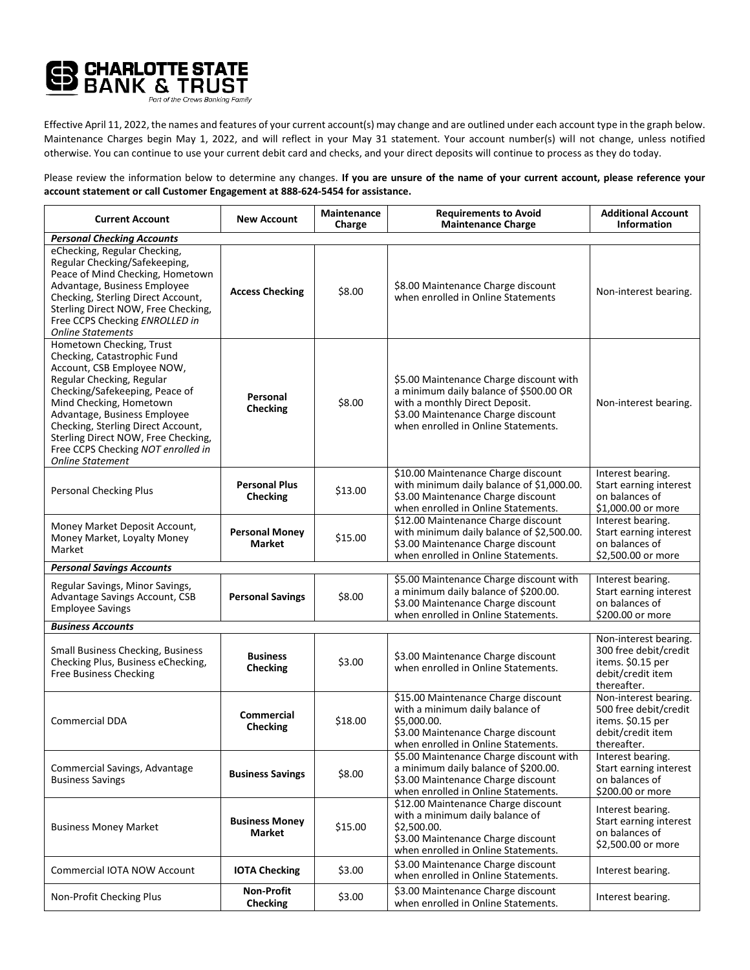

Effective April 11, 2022, the names and features of your current account(s) may change and are outlined under each account type in the graph below. Maintenance Charges begin May 1, 2022, and will reflect in your May 31 statement. Your account number(s) will not change, unless notified otherwise. You can continue to use your current debit card and checks, and your direct deposits will continue to process as they do today.

Please review the information below to determine any changes. **If you are unsure of the name of your current account, please reference your account statement or call Customer Engagement at 888-624-5454 for assistance.**

| <b>Current Account</b>                                                                                                                                                                                                                                                                                                                                        | <b>New Account</b>                      | Maintenance<br>Charge | <b>Requirements to Avoid</b><br><b>Maintenance Charge</b>                                                                                                                                        | <b>Additional Account</b><br><b>Information</b>                                                         |  |
|---------------------------------------------------------------------------------------------------------------------------------------------------------------------------------------------------------------------------------------------------------------------------------------------------------------------------------------------------------------|-----------------------------------------|-----------------------|--------------------------------------------------------------------------------------------------------------------------------------------------------------------------------------------------|---------------------------------------------------------------------------------------------------------|--|
| <b>Personal Checking Accounts</b>                                                                                                                                                                                                                                                                                                                             |                                         |                       |                                                                                                                                                                                                  |                                                                                                         |  |
| eChecking, Regular Checking,<br>Regular Checking/Safekeeping,<br>Peace of Mind Checking, Hometown<br>Advantage, Business Employee<br>Checking, Sterling Direct Account,<br>Sterling Direct NOW, Free Checking,<br>Free CCPS Checking ENROLLED in<br><b>Online Statements</b>                                                                                  | <b>Access Checking</b>                  | \$8.00                | \$8.00 Maintenance Charge discount<br>when enrolled in Online Statements                                                                                                                         | Non-interest bearing.                                                                                   |  |
| Hometown Checking, Trust<br>Checking, Catastrophic Fund<br>Account, CSB Employee NOW,<br>Regular Checking, Regular<br>Checking/Safekeeping, Peace of<br>Mind Checking, Hometown<br>Advantage, Business Employee<br>Checking, Sterling Direct Account,<br>Sterling Direct NOW, Free Checking,<br>Free CCPS Checking NOT enrolled in<br><b>Online Statement</b> | Personal<br><b>Checking</b>             | \$8.00                | \$5.00 Maintenance Charge discount with<br>a minimum daily balance of \$500.00 OR<br>with a monthly Direct Deposit.<br>\$3.00 Maintenance Charge discount<br>when enrolled in Online Statements. | Non-interest bearing.                                                                                   |  |
| Personal Checking Plus                                                                                                                                                                                                                                                                                                                                        | <b>Personal Plus</b><br><b>Checking</b> | \$13.00               | \$10.00 Maintenance Charge discount<br>with minimum daily balance of \$1,000.00.<br>\$3.00 Maintenance Charge discount<br>when enrolled in Online Statements.                                    | Interest bearing.<br>Start earning interest<br>on balances of<br>\$1,000.00 or more                     |  |
| Money Market Deposit Account,<br>Money Market, Loyalty Money<br>Market                                                                                                                                                                                                                                                                                        | <b>Personal Money</b><br><b>Market</b>  | \$15.00               | \$12.00 Maintenance Charge discount<br>with minimum daily balance of \$2,500.00.<br>\$3.00 Maintenance Charge discount<br>when enrolled in Online Statements.                                    | Interest bearing.<br>Start earning interest<br>on balances of<br>\$2,500.00 or more                     |  |
| <b>Personal Savings Accounts</b>                                                                                                                                                                                                                                                                                                                              |                                         |                       |                                                                                                                                                                                                  |                                                                                                         |  |
| Regular Savings, Minor Savings,<br>Advantage Savings Account, CSB<br><b>Employee Savings</b>                                                                                                                                                                                                                                                                  | <b>Personal Savings</b>                 | \$8.00                | \$5.00 Maintenance Charge discount with<br>a minimum daily balance of \$200.00.<br>\$3.00 Maintenance Charge discount<br>when enrolled in Online Statements.                                     | Interest bearing.<br>Start earning interest<br>on balances of<br>\$200.00 or more                       |  |
| <b>Business Accounts</b>                                                                                                                                                                                                                                                                                                                                      |                                         |                       |                                                                                                                                                                                                  |                                                                                                         |  |
| <b>Small Business Checking, Business</b><br>Checking Plus, Business eChecking,<br><b>Free Business Checking</b>                                                                                                                                                                                                                                               | <b>Business</b><br><b>Checking</b>      | \$3.00                | \$3.00 Maintenance Charge discount<br>when enrolled in Online Statements.                                                                                                                        | Non-interest bearing.<br>300 free debit/credit<br>items. \$0.15 per<br>debit/credit item<br>thereafter. |  |
| Commercial DDA                                                                                                                                                                                                                                                                                                                                                | <b>Commercial</b><br><b>Checking</b>    | \$18.00               | \$15.00 Maintenance Charge discount<br>with a minimum daily balance of<br>\$5,000.00.<br>\$3.00 Maintenance Charge discount<br>when enrolled in Online Statements.                               | Non-interest bearing.<br>500 free debit/credit<br>items. \$0.15 per<br>debit/credit item<br>thereafter. |  |
| Commercial Savings, Advantage<br><b>Business Savings</b>                                                                                                                                                                                                                                                                                                      | <b>Business Savings</b>                 | \$8.00                | \$5.00 Maintenance Charge discount with<br>a minimum daily balance of \$200.00.<br>\$3.00 Maintenance Charge discount<br>when enrolled in Online Statements.                                     | Interest bearing.<br>Start earning interest<br>on balances of<br>\$200.00 or more                       |  |
| <b>Business Money Market</b>                                                                                                                                                                                                                                                                                                                                  | <b>Business Money</b><br>Market         | \$15.00               | \$12.00 Maintenance Charge discount<br>with a minimum daily balance of<br>\$2,500.00.<br>\$3.00 Maintenance Charge discount<br>when enrolled in Online Statements.                               | Interest bearing.<br>Start earning interest<br>on balances of<br>\$2,500.00 or more                     |  |
| Commercial IOTA NOW Account                                                                                                                                                                                                                                                                                                                                   | <b>IOTA Checking</b>                    | \$3.00                | \$3.00 Maintenance Charge discount<br>when enrolled in Online Statements.                                                                                                                        | Interest bearing.                                                                                       |  |
| Non-Profit Checking Plus                                                                                                                                                                                                                                                                                                                                      | <b>Non-Profit</b><br><b>Checking</b>    | \$3.00                | \$3.00 Maintenance Charge discount<br>when enrolled in Online Statements.                                                                                                                        | Interest bearing.                                                                                       |  |